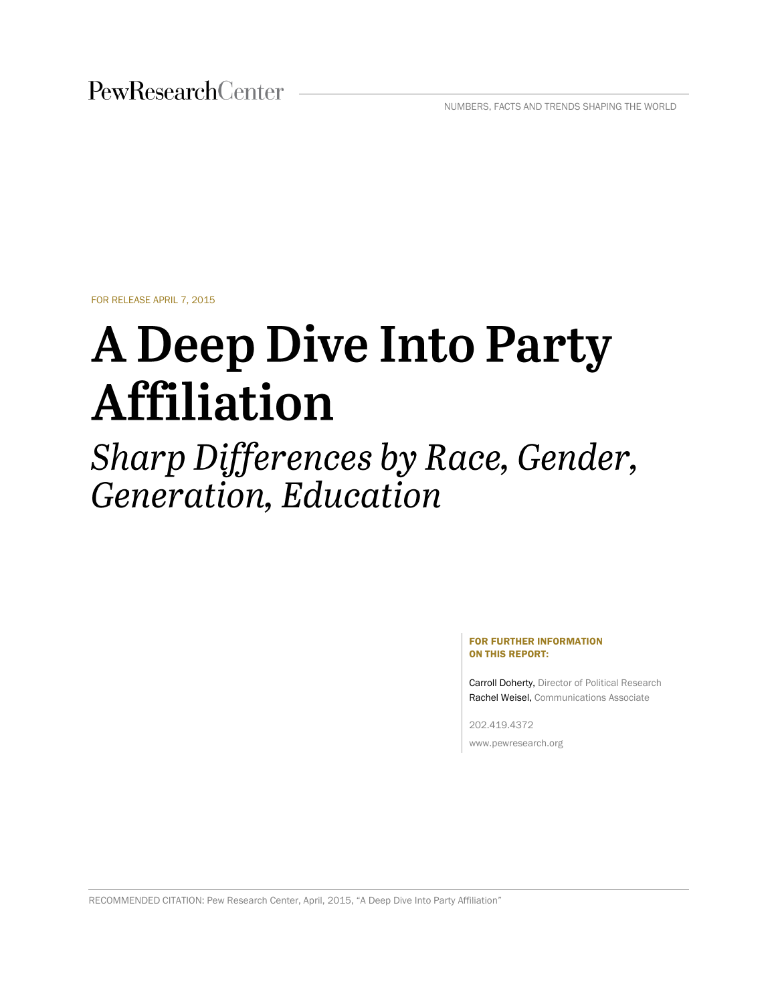PewResearchCenter

NUMBERS, FACTS AND TRENDS SHAPING THE WORLD

FOR RELEASE APRIL 7, 2015

# **A Deep Dive Into Party Affiliation**

Sharp Differences by Race, Gender, Generation, Education

#### FOR FURTHER INFORMATION ON THIS REPORT:

Carroll Doherty, Director of Political Research Rachel Weisel, Communications Associate

202.419.4372 www.pewresearch.org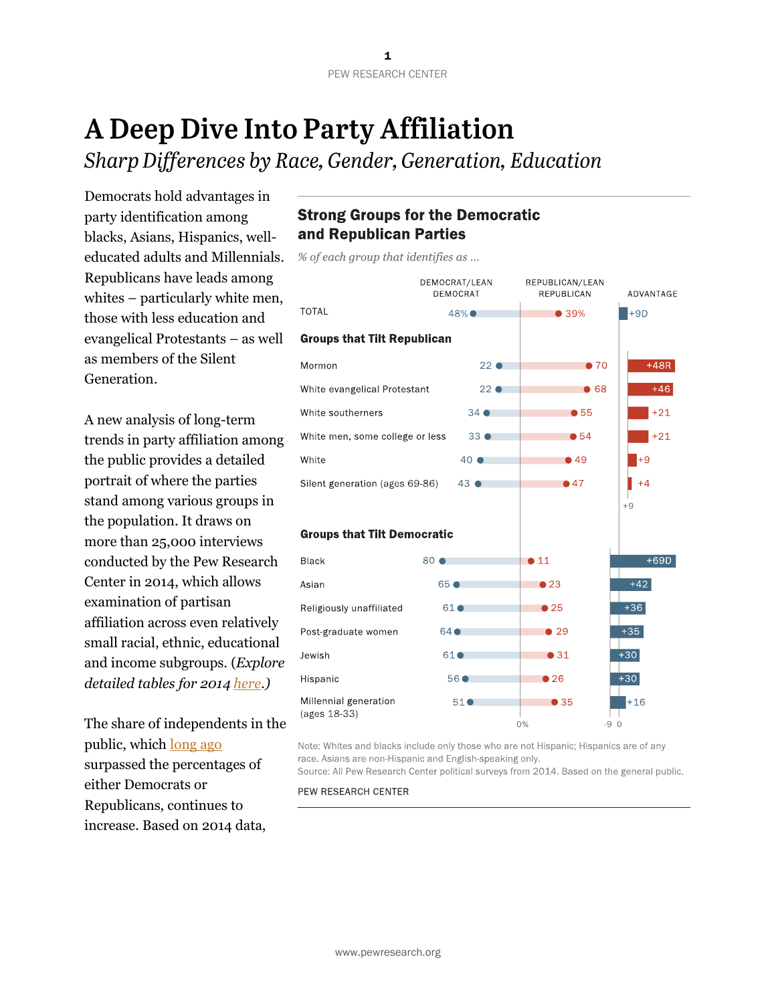## A Deep Dive Into Party Affiliation

Sharp Differences by Race, Gender, Generation, Education

Democrats hold advantages in party identification among blacks, Asians, Hispanics, welleducated adults and Millennials. Republicans have leads among whites – particularly white men, those with less education and evangelical Protestants – as well as members of the Silent Generation.

A new analysis of long-term trends in party affiliation among the public provides a detailed portrait of where the parties stand among various groups in the population. It draws on more than 25,000 interviews conducted by the Pew Research Center in 2014, which allows examination of partisan affiliation across even relatively small racial, ethnic, educational and income subgroups. (*Explore detailed tables for 2014 [here.](http://www.people-press.org/2015/04/07/2014-party-identification-detailed-tables/))*

The share of independents in the public, which [long ago](http://www.people-press.org/2009/05/21/independents-take-center-stage-in-obama-era/) surpassed the percentages of either Democrats or Republicans, continues to increase. Based on 2014 data,

## **Strong Groups for the Democratic** and Republican Parties

% of each group that identifies as ...



Note: Whites and blacks include only those who are not Hispanic; Hispanics are of any race. Asians are non-Hispanic and English-speaking only.

Source: All Pew Research Center political surveys from 2014. Based on the general public.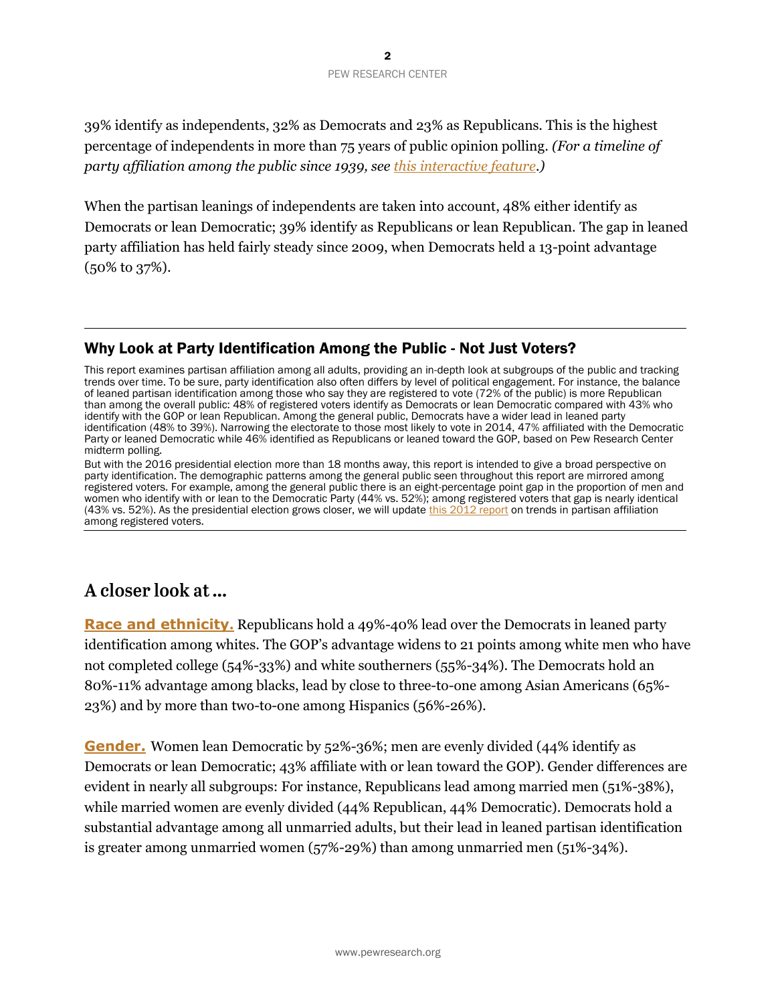39% identify as independents, 32% as Democrats and 23% as Republicans. This is the highest percentage of independents in more than 75 years of public opinion polling. *(For a timeline of party affiliation among the public since 1939, se[e this interactive feature.](http://www.people-press.org/interactives/party-id-trend/))*

When the partisan leanings of independents are taken into account, 48% either identify as Democrats or lean Democratic; 39% identify as Republicans or lean Republican. The gap in leaned party affiliation has held fairly steady since 2009, when Democrats held a 13-point advantage (50% to 37%).

#### Why Look at Party Identification Among the Public - Not Just Voters?

This report examines partisan affiliation among all adults, providing an in-depth look at subgroups of the public and tracking trends over time. To be sure, party identification also often differs by level of political engagement. For instance, the balance of leaned partisan identification among those who say they are registered to vote (72% of the public) is more Republican than among the overall public: 48% of registered voters identify as Democrats or lean Democratic compared with 43% who identify with the GOP or lean Republican. Among the general public, Democrats have a wider lead in leaned party identification (48% to 39%). Narrowing the electorate to those most likely to vote in 2014, 47% affiliated with the Democratic Party or leaned Democratic while 46% identified as Republicans or leaned toward the GOP, based on Pew Research Center midterm polling.

But with the 2016 presidential election more than 18 months away, this report is intended to give a broad perspective on party identification. The demographic patterns among the general public seen throughout this report are mirrored among registered voters. For example, among the general public there is an eight-percentage point gap in the proportion of men and women who identify with or lean to the Democratic Party (44% vs. 52%); among registered voters that gap is nearly identical (43% vs. 52%). As the presidential election grows closer, we will updat[e this 2012 report](http://www.people-press.org/2012/08/23/a-closer-look-at-the-parties-in-2012/) on trends in partisan affiliation among registered voters.

## A closer look at ...

**[Race and ethnicity](http://www.people-press.org/2015/04/07/party-identification-trends-1992-2014/#race).** Republicans hold a 49%-40% lead over the Democrats in leaned party identification among whites. The GOP's advantage widens to 21 points among white men who have not completed college (54%-33%) and white southerners (55%-34%). The Democrats hold an 80%-11% advantage among blacks, lead by close to three-to-one among Asian Americans (65%- 23%) and by more than two-to-one among Hispanics (56%-26%).

**[Gender.](http://www.people-press.org/2015/04/07/party-identification-trends-1992-2014/#gender)** Women lean Democratic by 52%-36%; men are evenly divided (44% identify as Democrats or lean Democratic; 43% affiliate with or lean toward the GOP). Gender differences are evident in nearly all subgroups: For instance, Republicans lead among married men (51%-38%), while married women are evenly divided (44% Republican, 44% Democratic). Democrats hold a substantial advantage among all unmarried adults, but their lead in leaned partisan identification is greater among unmarried women (57%-29%) than among unmarried men (51%-34%).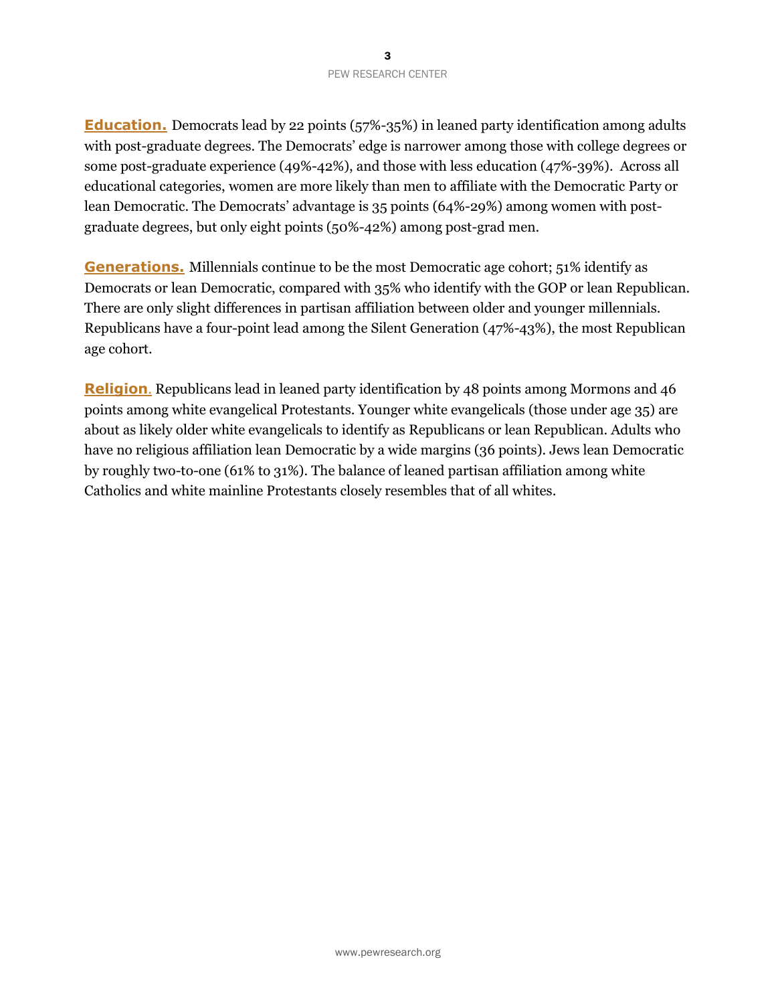**[Education.](http://www.people-press.org/2015/04/07/party-identification-trends-1992-2014/#education)** Democrats lead by 22 points (57%-35%) in leaned party identification among adults with post-graduate degrees. The Democrats' edge is narrower among those with college degrees or some post-graduate experience (49%-42%), and those with less education (47%-39%). Across all educational categories, women are more likely than men to affiliate with the Democratic Party or lean Democratic. The Democrats' advantage is 35 points (64%-29%) among women with postgraduate degrees, but only eight points (50%-42%) among post-grad men.

**[Generations.](http://www.people-press.org/2015/04/07/party-identification-trends-1992-2014/#generation)** Millennials continue to be the most Democratic age cohort; 51% identify as Democrats or lean Democratic, compared with 35% who identify with the GOP or lean Republican. There are only slight differences in partisan affiliation between older and younger millennials. Republicans have a four-point lead among the Silent Generation (47%-43%), the most Republican age cohort.

**[Religion](http://www.people-press.org/2015/04/07/party-identification-trends-1992-2014/#religion)**. Republicans lead in leaned party identification by 48 points among Mormons and 46 points among white evangelical Protestants. Younger white evangelicals (those under age 35) are about as likely older white evangelicals to identify as Republicans or lean Republican. Adults who have no religious affiliation lean Democratic by a wide margins (36 points). Jews lean Democratic by roughly two-to-one (61% to 31%). The balance of leaned partisan affiliation among white Catholics and white mainline Protestants closely resembles that of all whites.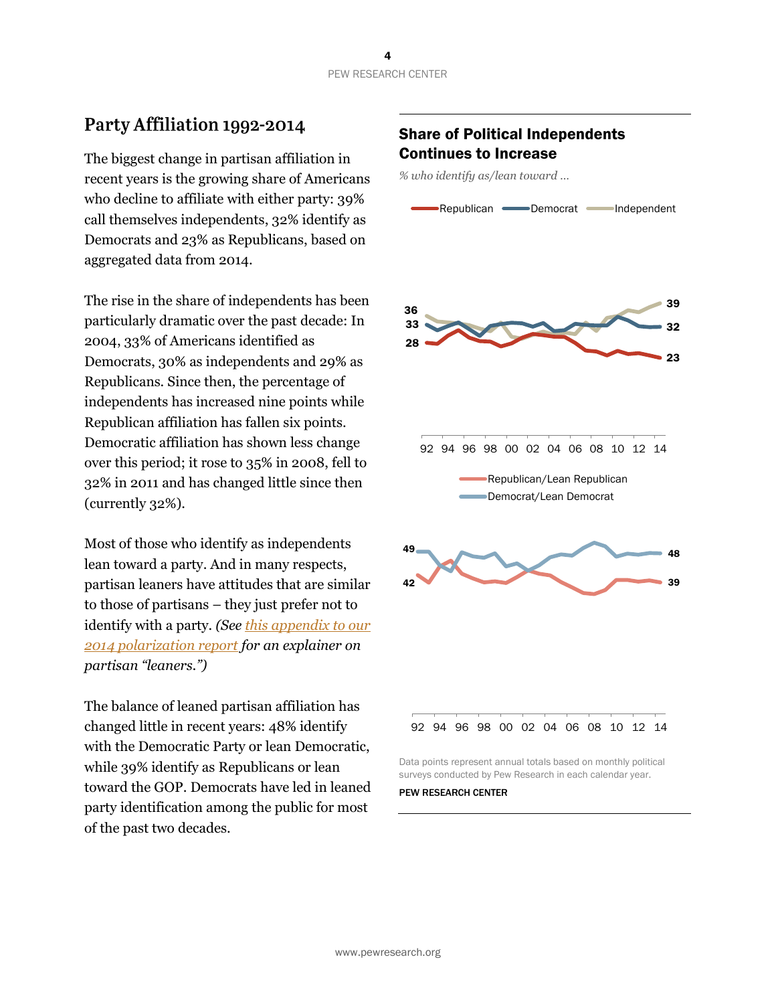## Party Affiliation 1992-2014

The biggest change in partisan affiliation in recent years is the growing share of Americans who decline to affiliate with either party: 39% call themselves independents, 32% identify as Democrats and 23% as Republicans, based on aggregated data from 2014.

The rise in the share of independents has been particularly dramatic over the past decade: In 2004, 33% of Americans identified as Democrats, 30% as independents and 29% as Republicans. Since then, the percentage of independents has increased nine points while Republican affiliation has fallen six points. Democratic affiliation has shown less change over this period; it rose to 35% in 2008, fell to 32% in 2011 and has changed little since then (currently 32%).

Most of those who identify as independents lean toward a party. And in many respects, partisan leaners have attitudes that are similar to those of partisans – they just prefer not to identify with a party. *(See [this appendix to our](http://www.people-press.org/2014/06/12/appendix-b-why-we-include-leaners-with-partisans/)  [2014 polarization report](http://www.people-press.org/2014/06/12/appendix-b-why-we-include-leaners-with-partisans/) for an explainer on partisan "leaners.")*

The balance of leaned partisan affiliation has changed little in recent years: 48% identify with the Democratic Party or lean Democratic, while 39% identify as Republicans or lean toward the GOP. Democrats have led in leaned party identification among the public for most of the past two decades.

### Share of Political Independents Continues to Increase

*% who identify as/lean toward …*



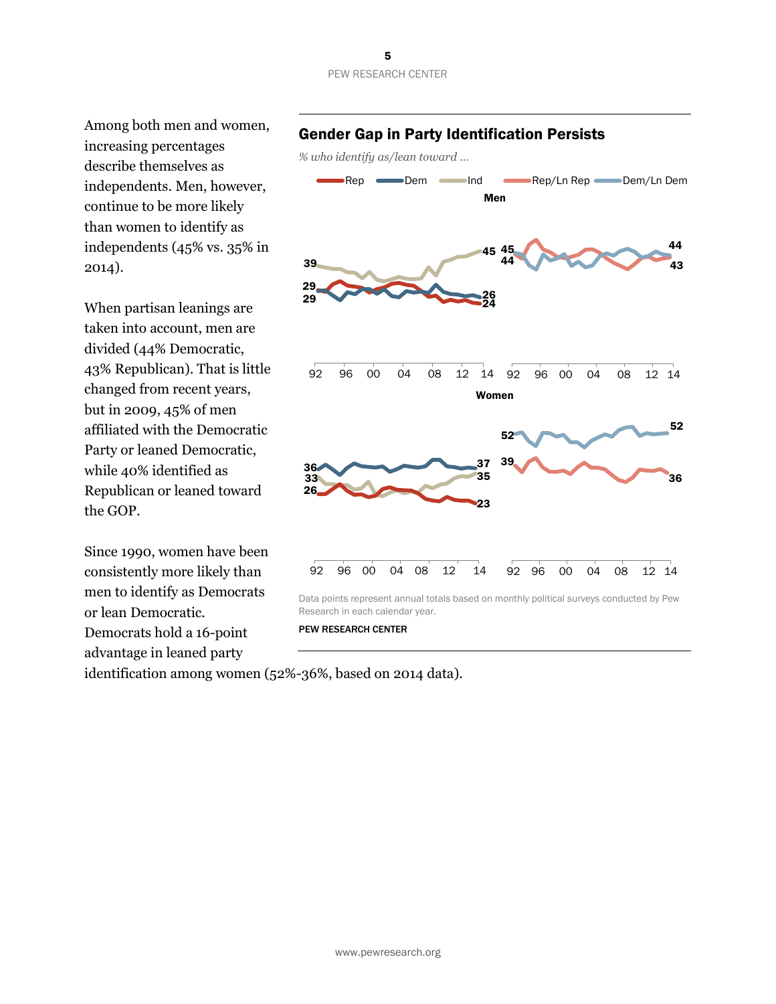Among both men and women, increasing percentages describe themselves as independents. Men, however, continue to be more likely than women to identify as independents (45% vs. 35% in 2014).

When partisan leanings are taken into account, men are divided (44% Democratic, 43% Republican). That is little changed from recent years, but in 2009, 45% of men affiliated with the Democratic Party or leaned Democratic, while 40% identified as Republican or leaned toward the GOP.

Since 1990, women have been consistently more likely than men to identify as Democrats or lean Democratic. Democrats hold a 16-point advantage in leaned party

Gender Gap in Party Identification Persists

*% who identify as/lean toward …*



PEW RESEARCH CENTER

identification among women (52%-36%, based on 2014 data).

## 5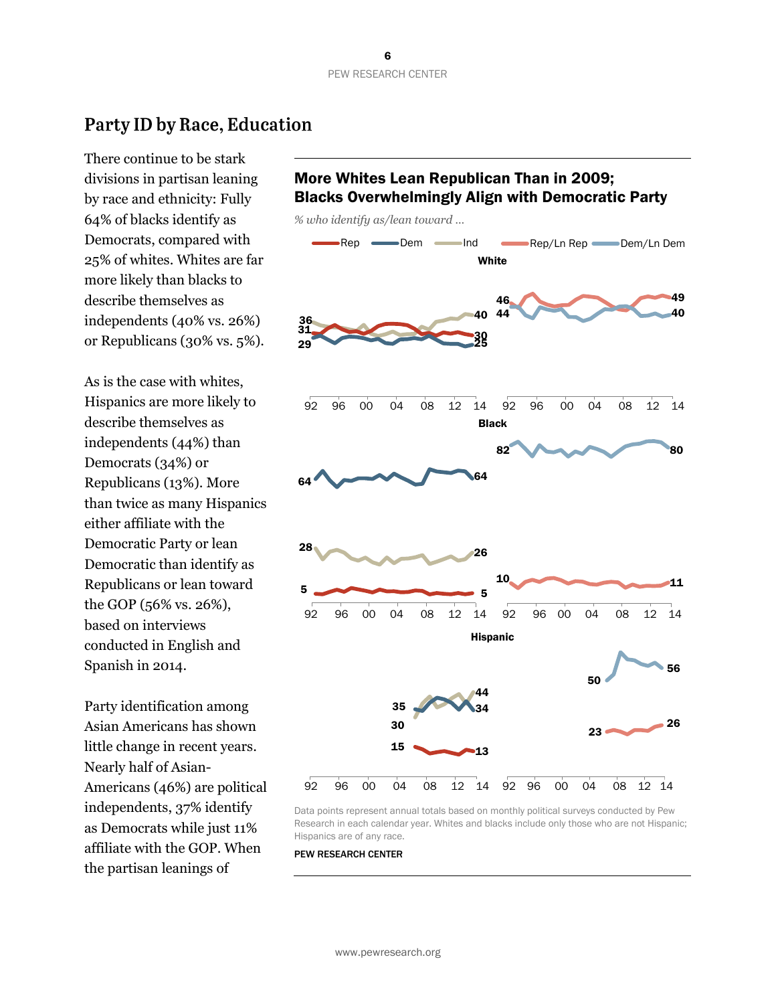## Party ID by Race, Education

There continue to be stark divisions in partisan leaning by race and ethnicity: Fully 64% of blacks identify as Democrats, compared with 25% of whites. Whites are far more likely than blacks to describe themselves as independents (40% vs. 26%) or Republicans (30% vs. 5%).

As is the case with whites, Hispanics are more likely to describe themselves as independents (44%) than Democrats (34%) or Republicans (13%). More than twice as many Hispanics either affiliate with the Democratic Party or lean Democratic than identify as Republicans or lean toward the GOP (56% vs. 26%), based on interviews conducted in English and Spanish in 2014.

Party identification among Asian Americans has shown little change in recent years. Nearly half of Asian-Americans (46%) are political independents, 37% identify as Democrats while just 11% affiliate with the GOP. When the partisan leanings of

## More Whites Lean Republican Than in 2009; Blacks Overwhelmingly Align with Democratic Party

*% who identify as/lean toward …*



Data points represent annual totals based on monthly political surveys conducted by Pew Research in each calendar year. Whites and blacks include only those who are not Hispanic; Hispanics are of any race.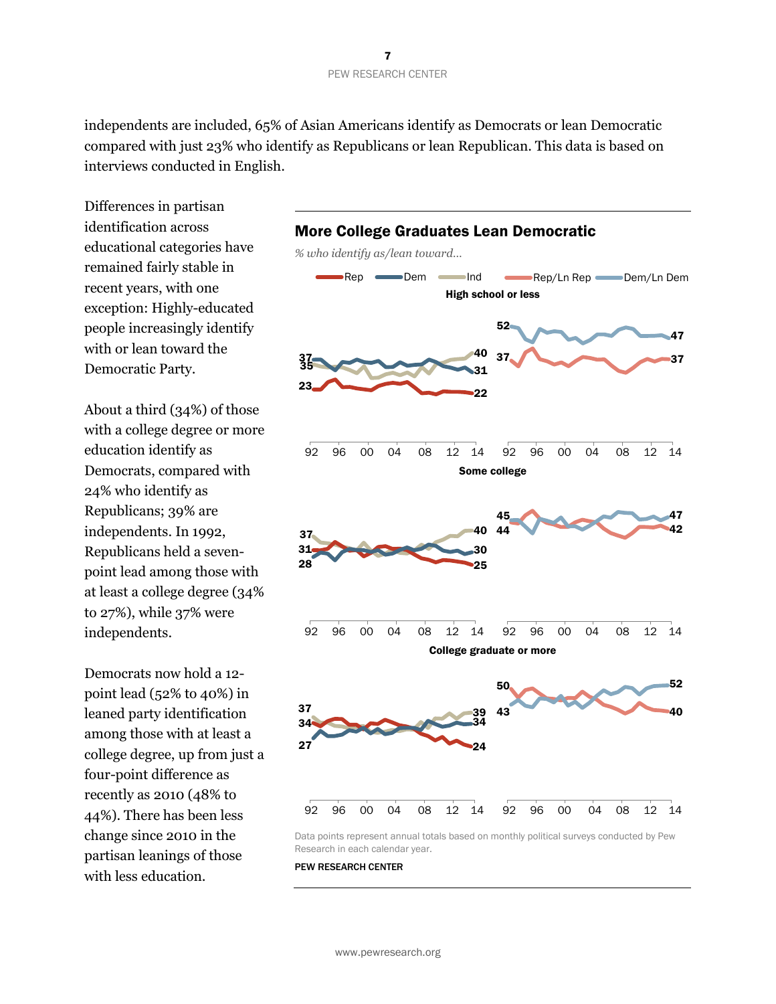independents are included, 65% of Asian Americans identify as Democrats or lean Democratic compared with just 23% who identify as Republicans or lean Republican. This data is based on interviews conducted in English.

Differences in partisan identification across educational categories have remained fairly stable in recent years, with one exception: Highly-educated people increasingly identify with or lean toward the Democratic Party.

About a third (34%) of those with a college degree or more education identify as Democrats, compared with 24% who identify as Republicans; 39% are independents. In 1992, Republicans held a sevenpoint lead among those with at least a college degree (34% to 27%), while 37% were independents.

Democrats now hold a 12 point lead (52% to 40%) in leaned party identification among those with at least a college degree, up from just a four-point difference as recently as 2010 (48% to 44%). There has been less change since 2010 in the partisan leanings of those with less education.



Research in each calendar year.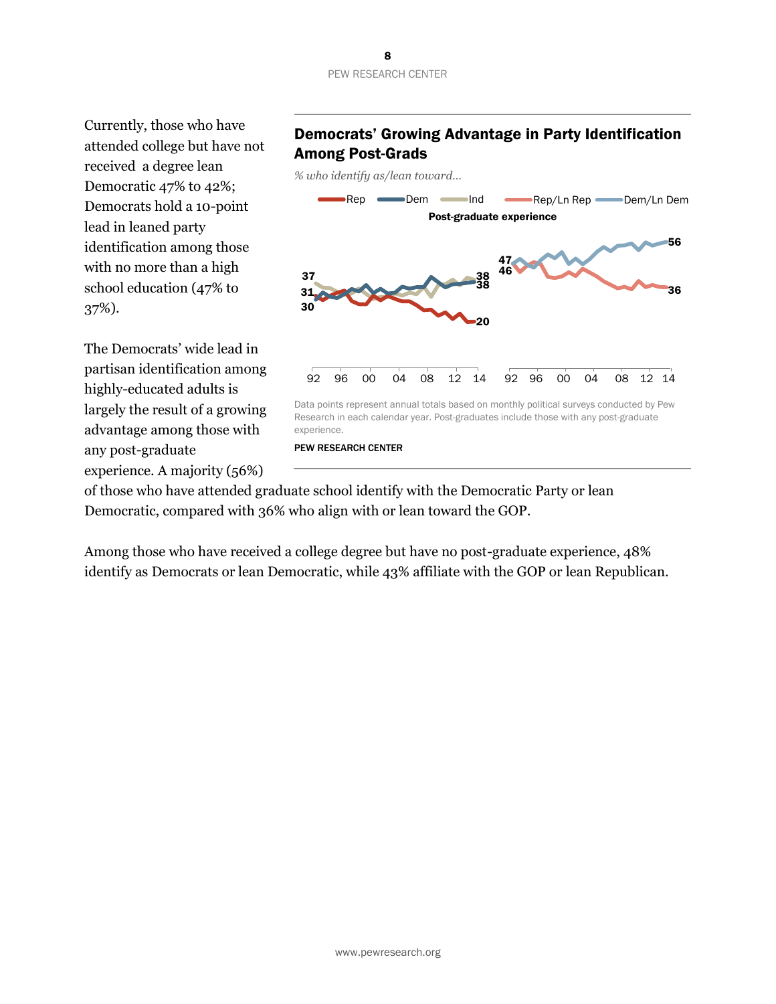Currently, those who have attended college but have not received a degree lean Democratic 47% to 42%; Democrats hold a 10-point lead in leaned party identification among those with no more than a high school education (47% to 37%).

The Democrats' wide lead in partisan identification among highly-educated adults is largely the result of a growing advantage among those with any post-graduate experience. A majority (56%)

#### Democrats' Growing Advantage in Party Identification Among Post-Grads

*% who identify as/lean toward…* 



of those who have attended graduate school identify with the Democratic Party or lean Democratic, compared with 36% who align with or lean toward the GOP.

Among those who have received a college degree but have no post-graduate experience, 48% identify as Democrats or lean Democratic, while 43% affiliate with the GOP or lean Republican.

## 8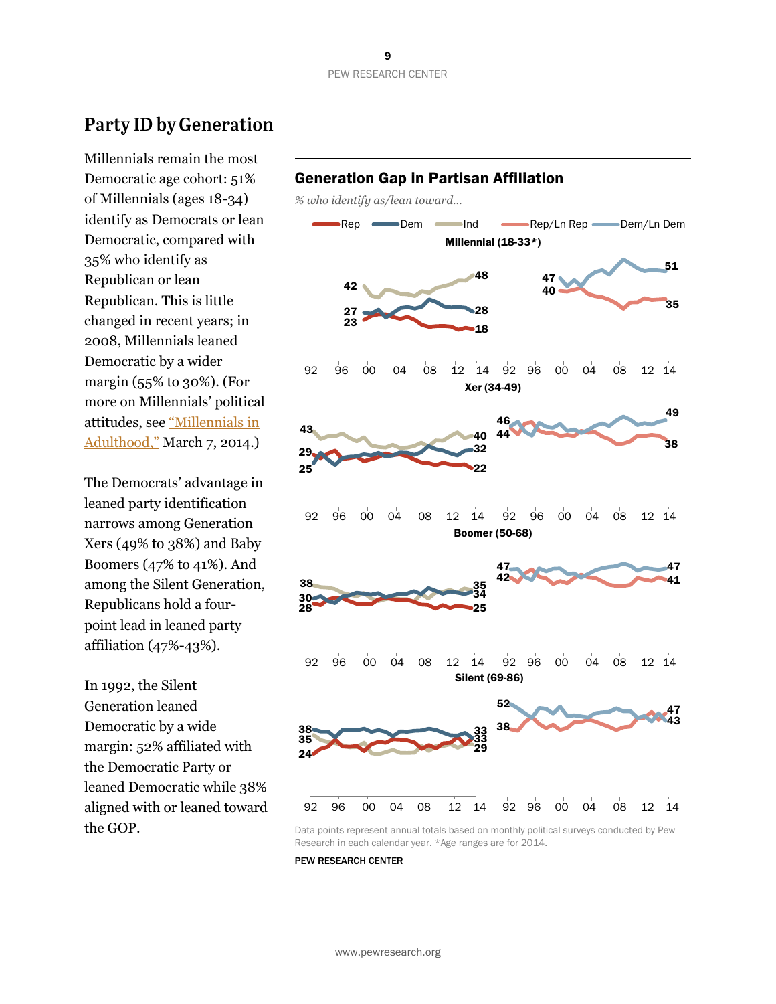## **Party ID by Generation**

Millennials remain the most Democratic age cohort: 51% of Millennials (ages 18-34) identify as Democrats or lean Democratic, compared with 35% who identify as Republican or lean Republican. This is little changed in recent years; in 2008, Millennials leaned Democratic by a wider margin (55% to 30%). (For more on Millennials' political attitudes, see ["Millennials in](http://www.pewsocialtrends.org/2014/03/07/millennials-in-adulthood/)  [Adulthood,"](http://www.pewsocialtrends.org/2014/03/07/millennials-in-adulthood/) March 7, 2014.)

The Democrats' advantage in leaned party identification narrows among Generation Xers (49% to 38%) and Baby Boomers (47% to 41%). And among the Silent Generation, Republicans hold a fourpoint lead in leaned party affiliation (47%-43%).

In 1992, the Silent Generation leaned Democratic by a wide margin: 52% affiliated with the Democratic Party or leaned Democratic while 38% aligned with or leaned toward the GOP.



Research in each calendar year. \*Age ranges are for 2014.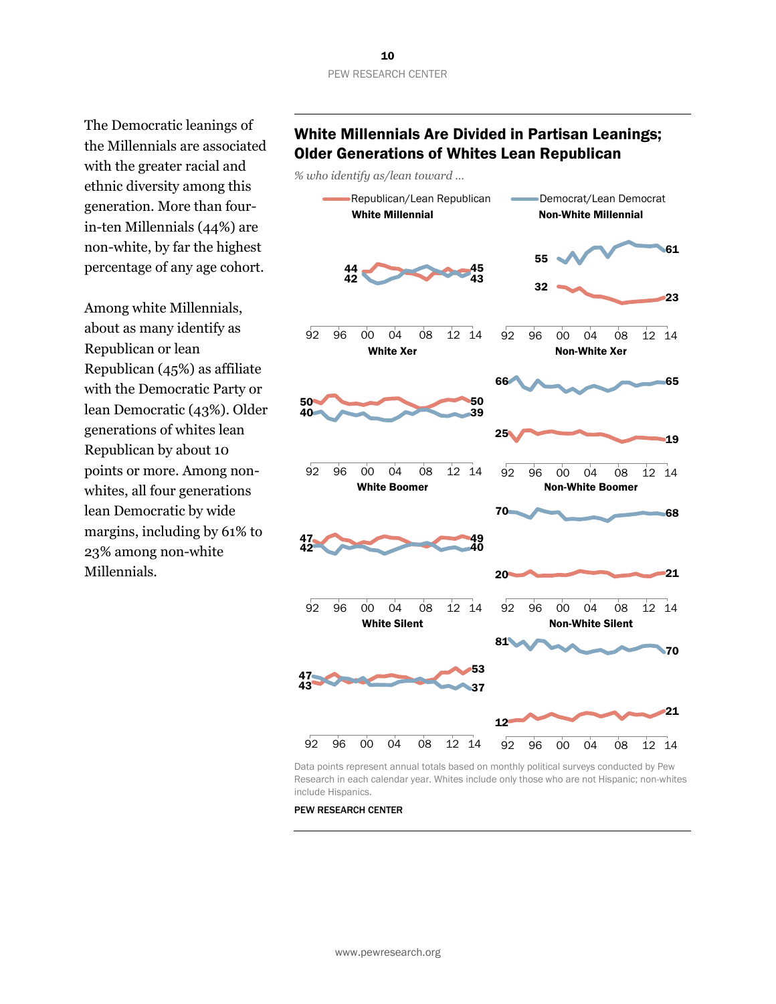The Democratic leanings of the Millennials are associated with the greater racial and ethnic diversity among this generation. More than fourin-ten Millennials (44%) are non-white, by far the highest percentage of any age cohort.

Among white Millennials, about as many identify as Republican or lean Republican (45%) as affiliate with the Democratic Party or lean Democratic (43%). Older generations of whites lean Republican by about 10 points or more. Among nonwhites, all four generations lean Democratic by wide margins, including by 61% to 23% among non-white Millennials.

#### White Millennials Are Divided in Partisan Leanings; Older Generations of Whites Lean Republican

*% who identify as/lean toward …*



Data points represent annual totals based on monthly political surveys conducted by Pew Research in each calendar year. Whites include only those who are not Hispanic; non-whites include Hispanics.

PEW RESEARCH CENTER

www.pewresearch.org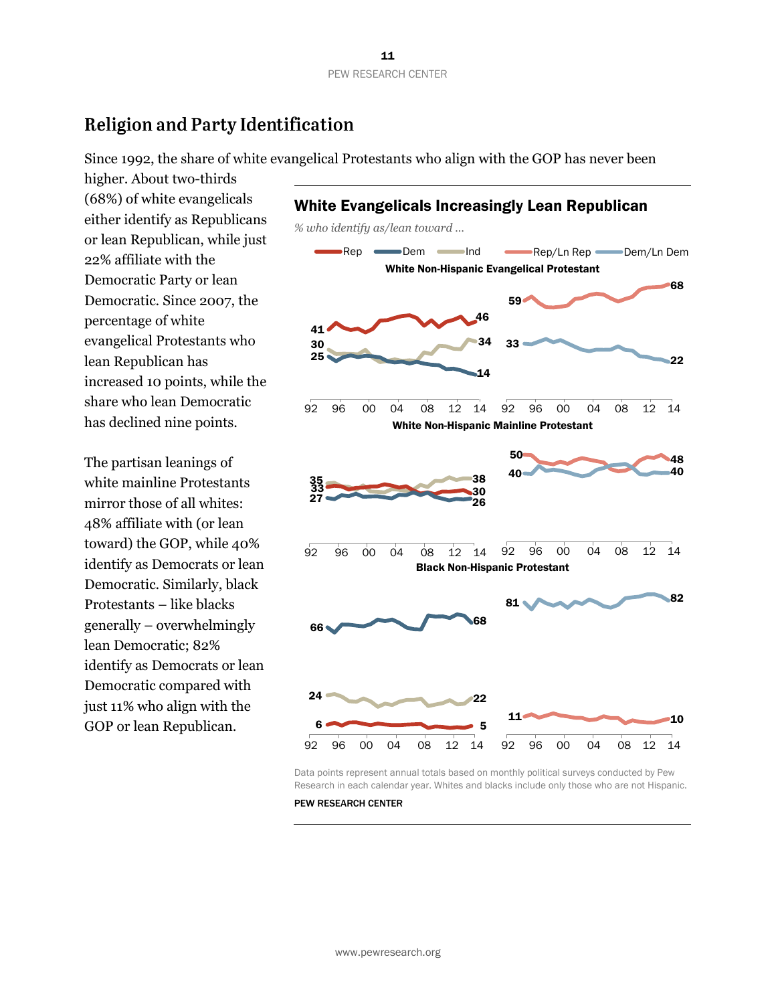## **Religion and Party Identification**

Since 1992, the share of white evangelical Protestants who align with the GOP has never been

higher. About two-thirds (68%) of white evangelicals either identify as Republicans or lean Republican, while just 22% affiliate with the Democratic Party or lean Democratic. Since 2007, the percentage of white evangelical Protestants who lean Republican has increased 10 points, while the share who lean Democratic has declined nine points.

The partisan leanings of white mainline Protestants mirror those of all whites: 48% affiliate with (or lean toward) the GOP, while 40% identify as Democrats or lean Democratic. Similarly, black Protestants – like blacks generally – overwhelmingly lean Democratic; 82% identify as Democrats or lean Democratic compared with just 11% who align with the GOP or lean Republican.



Data points represent annual totals based on monthly political surveys conducted by Pew Research in each calendar year. Whites and blacks include only those who are not Hispanic.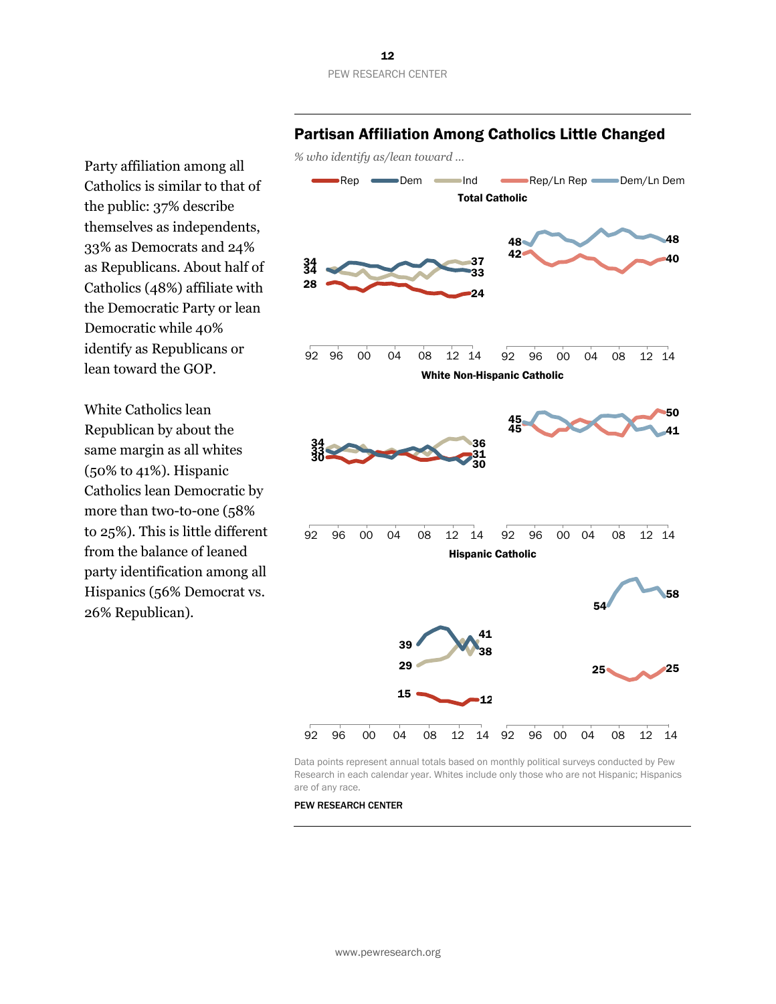Party affiliation among all Catholics is similar to that of the public: 37% describe themselves as independents, 33% as Democrats and 24% as Republicans. About half of Catholics (48%) affiliate with the Democratic Party or lean Democratic while 40% identify as Republicans or lean toward the GOP.

White Catholics lean Republican by about the same margin as all whites (50% to 41%). Hispanic Catholics lean Democratic by more than two-to-one (58% to 25%). This is little different from the balance of leaned party identification among all Hispanics (56% Democrat vs. 26% Republican).



#### Partisan Affiliation Among Catholics Little Changed

Data points represent annual totals based on monthly political surveys conducted by Pew Research in each calendar year. Whites include only those who are not Hispanic; Hispanics are of any race.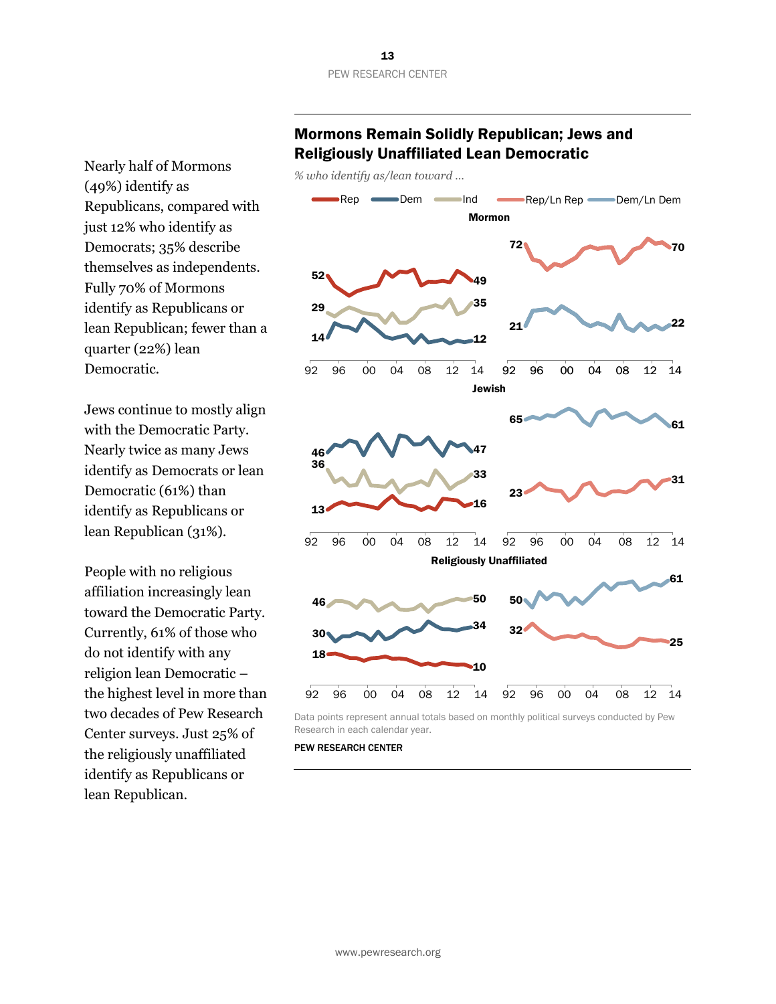Nearly half of Mormons (49%) identify as Republicans, compared with just 12% who identify as Democrats; 35% describe themselves as independents. Fully 70% of Mormons identify as Republicans or lean Republican; fewer than a quarter (22%) lean Democratic.

Jews continue to mostly align with the Democratic Party. Nearly twice as many Jews identify as Democrats or lean Democratic (61%) than identify as Republicans or lean Republican (31%).

People with no religious affiliation increasingly lean toward the Democratic Party. Currently, 61% of those who do not identify with any religion lean Democratic – the highest level in more than two decades of Pew Research Center surveys. Just 25% of the religiously unaffiliated identify as Republicans or lean Republican.

#### Mormons Remain Solidly Republican; Jews and Religiously Unaffiliated Lean Democratic

*% who identify as/lean toward …*



Data points represent annual totals based on monthly political surveys conducted by Pew Research in each calendar year.